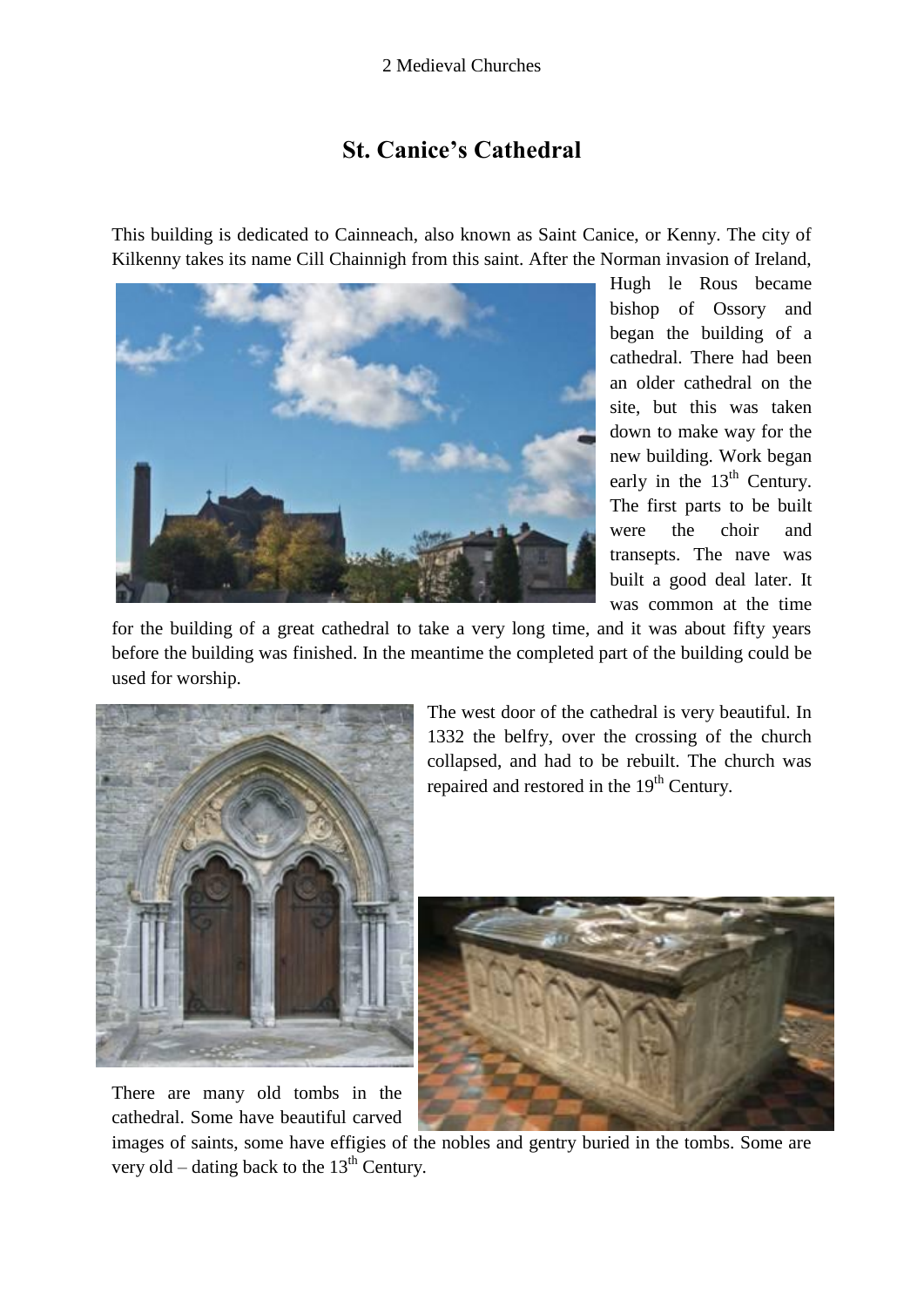## 2 Medieval Churches

## **St. Canice's Cathedral**

This building is dedicated to Cainneach, also known as Saint Canice, or Kenny. The city of Kilkenny takes its name Cill Chainnigh from this saint. After the Norman invasion of Ireland,



Hugh le Rous became bishop of Ossory and began the building of a cathedral. There had been an older cathedral on the site, but this was taken down to make way for the new building. Work began early in the  $13<sup>th</sup>$  Century. The first parts to be built were the choir and transepts. The nave was built a good deal later. It was common at the time

for the building of a great cathedral to take a very long time, and it was about fifty years before the building was finished. In the meantime the completed part of the building could be used for worship.



There are many old tombs in the cathedral. Some have beautiful carved

The west door of the cathedral is very beautiful. In 1332 the belfry, over the crossing of the church collapsed, and had to be rebuilt. The church was repaired and restored in the 19<sup>th</sup> Century.



images of saints, some have effigies of the nobles and gentry buried in the tombs. Some are very old – dating back to the  $13<sup>th</sup>$  Century.